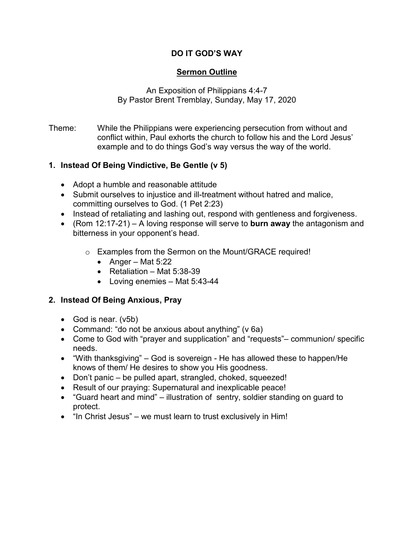# **DO IT GOD'S WAY**

## **Sermon Outline**

An Exposition of Philippians 4:4-7 By Pastor Brent Tremblay, Sunday, May 17, 2020

Theme: While the Philippians were experiencing persecution from without and conflict within, Paul exhorts the church to follow his and the Lord Jesus' example and to do things God's way versus the way of the world.

## **1. Instead Of Being Vindictive, Be Gentle (v 5)**

- Adopt a humble and reasonable attitude
- Submit ourselves to injustice and ill-treatment without hatred and malice, committing ourselves to God. (1 Pet 2:23)
- Instead of retaliating and lashing out, respond with gentleness and forgiveness.
- (Rom 12:17-21) A loving response will serve to **burn away** the antagonism and bitterness in your opponent's head.
	- o Examples from the Sermon on the Mount/GRACE required!
		- Anger Mat  $5:22$
		- Retaliation Mat 5:38-39
		- Loving enemies Mat 5:43-44

#### **2. Instead Of Being Anxious, Pray**

- God is near. (v5b)
- Command: "do not be anxious about anything" (v 6a)
- Come to God with "prayer and supplication" and "requests"– communion/ specific needs.
- "With thanksgiving" God is sovereign He has allowed these to happen/He knows of them/ He desires to show you His goodness.
- Don't panic be pulled apart, strangled, choked, squeezed!
- Result of our praying: Supernatural and inexplicable peace!
- "Guard heart and mind" illustration of sentry, soldier standing on guard to protect.
- "In Christ Jesus" we must learn to trust exclusively in Him!